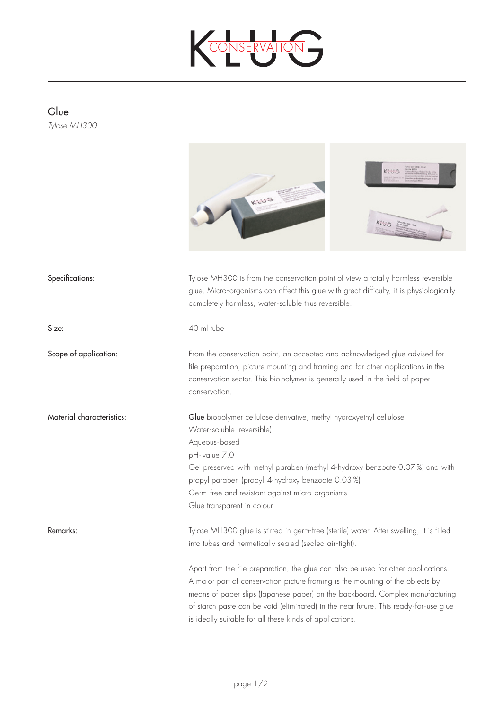

## Glue

*Tylose MH300* 



glue. Micro-organisms can affect this glue with great difficulty, it is physiologically completely harmless, water-soluble thus reversible. Size: 40 ml tube Scope of application: From the conservation point, an accepted and acknowledged glue advised for file preparation, picture mounting and framing and for other applications in the conservation sector. This biopolymer is generally used in the field of paper conservation. Material characteristics: Glue biopolymer cellulose derivative, methyl hydroxyethyl cellulose Water-soluble (reversible) Aqueous-based pH- value 7.0 Gel preserved with methyl paraben (methyl 4-hydroxy benzoate 0.07 %) and with propyl paraben (propyl 4-hydroxy benzoate 0.03 %) Germ-free and resistant against micro-organisms Glue transparent in colour Remarks: Tylose MH300 glue is stirred in germ-free (sterile) water. After swelling, it is filled into tubes and hermetically sealed (sealed air-tight). Apart from the file preparation, the glue can also be used for other applications. A major part of conservation picture framing is the mounting of the objects by means of paper slips (Japanese paper) on the backboard. Complex manufacturing of starch paste can be void (eliminated) in the near future. This ready-for-use glue is ideally suitable for all these kinds of applications.